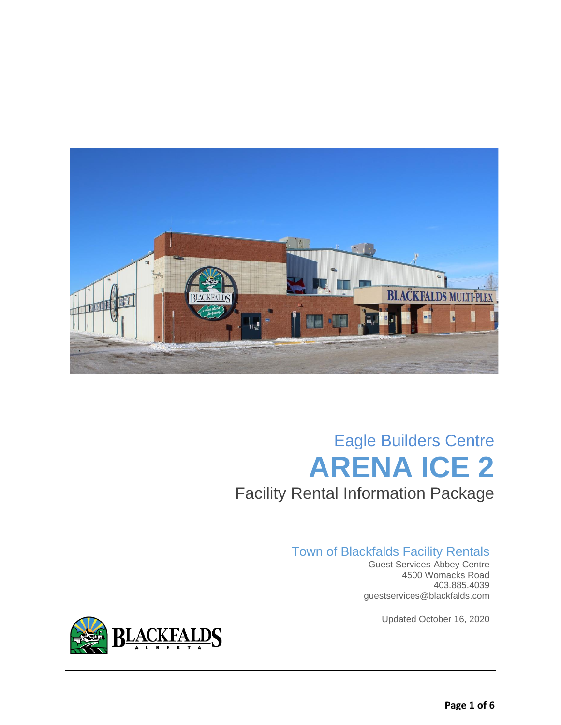

# Eagle Builders Centre **ARENA ICE 2** Facility Rental Information Package

## Town of Blackfalds Facility Rentals

 Guest Services-Abbey Centre 4500 Womacks Road 403.885.4039 guestservices@blackfalds.com

Updated October 16, 2020

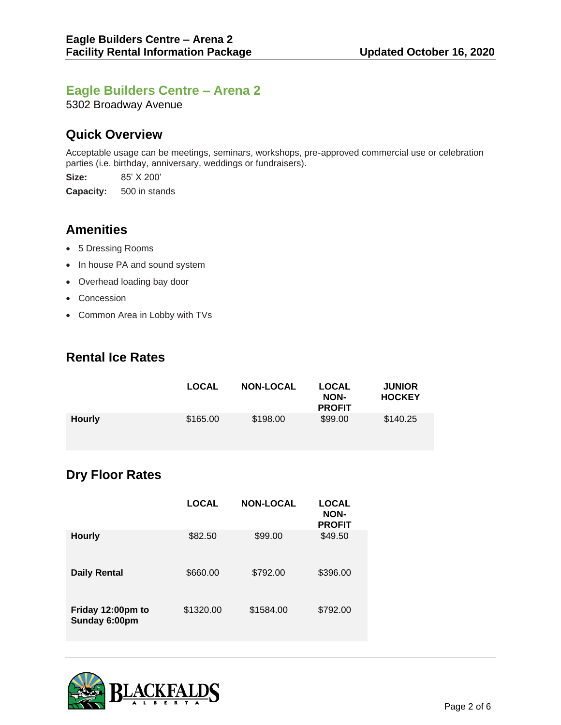### **Eagle Builders Centre – Arena 2**

5302 Broadway Avenue

### **Quick Overview**

Acceptable usage can be meetings, seminars, workshops, pre-approved commercial use or celebration parties (i.e. birthday, anniversary, weddings or fundraisers).

**Size:** 85' X 200'

**Capacity:** 500 in stands

### **Amenities**

- 5 Dressing Rooms
- In house PA and sound system
- Overhead loading bay door
- Concession
- Common Area in Lobby with TVs

### **Rental Ice Rates**

|               | <b>LOCAL</b> | <b>NON-LOCAL</b> | <b>LOCAL</b><br>NON-<br><b>PROFIT</b> | <b>JUNIOR</b><br><b>HOCKEY</b> |
|---------------|--------------|------------------|---------------------------------------|--------------------------------|
| <b>Hourly</b> | \$165.00     | \$198.00         | \$99.00                               | \$140.25                       |

# **Dry Floor Rates**

|                                    | <b>LOCAL</b> | <b>NON-LOCAL</b> | <b>LOCAL</b><br><b>NON-</b><br><b>PROFIT</b> |
|------------------------------------|--------------|------------------|----------------------------------------------|
| <b>Hourly</b>                      | \$82.50      | \$99.00          | \$49.50                                      |
| <b>Daily Rental</b>                | \$660.00     | \$792.00         | \$396.00                                     |
| Friday 12:00pm to<br>Sunday 6:00pm | \$1320.00    | \$1584.00        | \$792.00                                     |

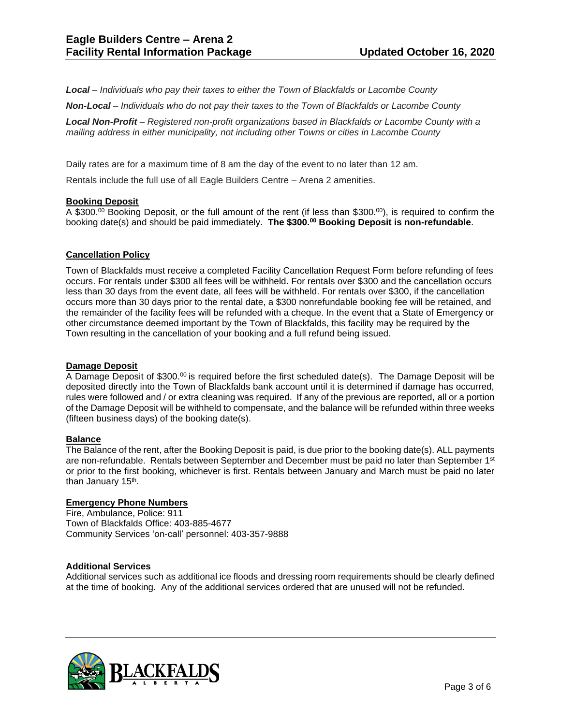*Local – Individuals who pay their taxes to either the Town of Blackfalds or Lacombe County*

*Non-Local – Individuals who do not pay their taxes to the Town of Blackfalds or Lacombe County*

*Local Non-Profit – Registered non-profit organizations based in Blackfalds or Lacombe County with a mailing address in either municipality, not including other Towns or cities in Lacombe County* 

Daily rates are for a maximum time of 8 am the day of the event to no later than 12 am.

Rentals include the full use of all Eagle Builders Centre – Arena 2 amenities.

#### **Booking Deposit**

A \$300.<sup>00</sup> Booking Deposit, or the full amount of the rent (if less than \$300.<sup>00</sup>), is required to confirm the booking date(s) and should be paid immediately. **The \$300.<sup>00</sup> Booking Deposit is non-refundable**.

#### **Cancellation Policy**

Town of Blackfalds must receive a completed Facility Cancellation Request Form before refunding of fees occurs. For rentals under \$300 all fees will be withheld. For rentals over \$300 and the cancellation occurs less than 30 days from the event date, all fees will be withheld. For rentals over \$300, if the cancellation occurs more than 30 days prior to the rental date, a \$300 nonrefundable booking fee will be retained, and the remainder of the facility fees will be refunded with a cheque. In the event that a State of Emergency or other circumstance deemed important by the Town of Blackfalds, this facility may be required by the Town resulting in the cancellation of your booking and a full refund being issued.

#### **Damage Deposit**

A Damage Deposit of \$300. $^{00}$  is required before the first scheduled date(s). The Damage Deposit will be deposited directly into the Town of Blackfalds bank account until it is determined if damage has occurred, rules were followed and / or extra cleaning was required. If any of the previous are reported, all or a portion of the Damage Deposit will be withheld to compensate, and the balance will be refunded within three weeks (fifteen business days) of the booking date(s).

#### **Balance**

The Balance of the rent, after the Booking Deposit is paid, is due prior to the booking date(s). ALL payments are non-refundable. Rentals between September and December must be paid no later than September 1<sup>st</sup> or prior to the first booking, whichever is first. Rentals between January and March must be paid no later than January 15<sup>th</sup>.

#### **Emergency Phone Numbers**

Fire, Ambulance, Police: 911 Town of Blackfalds Office: 403-885-4677 Community Services 'on-call' personnel: 403-357-9888

#### **Additional Services**

Additional services such as additional ice floods and dressing room requirements should be clearly defined at the time of booking. Any of the additional services ordered that are unused will not be refunded.

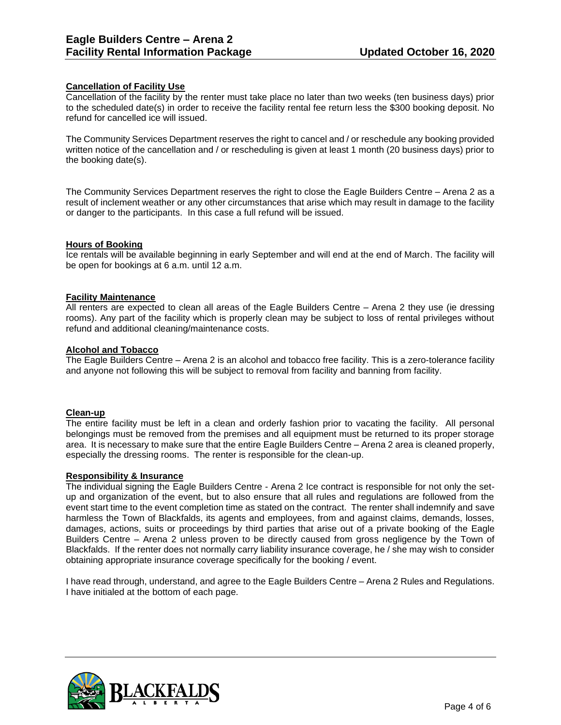#### **Cancellation of Facility Use**

Cancellation of the facility by the renter must take place no later than two weeks (ten business days) prior to the scheduled date(s) in order to receive the facility rental fee return less the \$300 booking deposit. No refund for cancelled ice will issued.

The Community Services Department reserves the right to cancel and / or reschedule any booking provided written notice of the cancellation and / or rescheduling is given at least 1 month (20 business days) prior to the booking date(s).

The Community Services Department reserves the right to close the Eagle Builders Centre – Arena 2 as a result of inclement weather or any other circumstances that arise which may result in damage to the facility or danger to the participants. In this case a full refund will be issued.

#### **Hours of Booking**

Ice rentals will be available beginning in early September and will end at the end of March. The facility will be open for bookings at 6 a.m. until 12 a.m.

#### **Facility Maintenance**

All renters are expected to clean all areas of the Eagle Builders Centre – Arena 2 they use (ie dressing rooms). Any part of the facility which is properly clean may be subject to loss of rental privileges without refund and additional cleaning/maintenance costs.

#### **Alcohol and Tobacco**

The Eagle Builders Centre – Arena 2 is an alcohol and tobacco free facility. This is a zero-tolerance facility and anyone not following this will be subject to removal from facility and banning from facility.

#### **Clean-up**

The entire facility must be left in a clean and orderly fashion prior to vacating the facility. All personal belongings must be removed from the premises and all equipment must be returned to its proper storage area. It is necessary to make sure that the entire Eagle Builders Centre – Arena 2 area is cleaned properly, especially the dressing rooms. The renter is responsible for the clean-up.

#### **Responsibility & Insurance**

The individual signing the Eagle Builders Centre - Arena 2 Ice contract is responsible for not only the setup and organization of the event, but to also ensure that all rules and regulations are followed from the event start time to the event completion time as stated on the contract. The renter shall indemnify and save harmless the Town of Blackfalds, its agents and employees, from and against claims, demands, losses, damages, actions, suits or proceedings by third parties that arise out of a private booking of the Eagle Builders Centre – Arena 2 unless proven to be directly caused from gross negligence by the Town of Blackfalds. If the renter does not normally carry liability insurance coverage, he / she may wish to consider obtaining appropriate insurance coverage specifically for the booking / event.

I have read through, understand, and agree to the Eagle Builders Centre – Arena 2 Rules and Regulations. I have initialed at the bottom of each page.

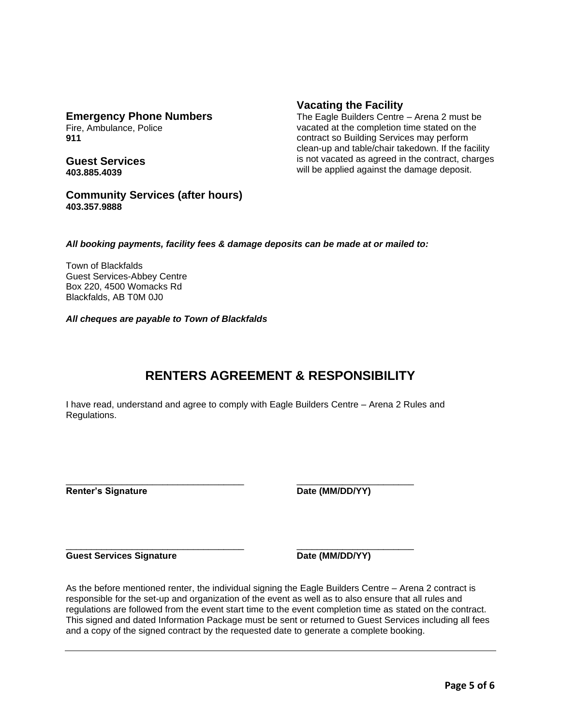### **Emergency Phone Numbers**

Fire, Ambulance, Police **911**

**Guest Services 403.885.4039**

**Community Services (after hours) 403.357.9888**

### **Vacating the Facility**

The Eagle Builders Centre – Arena 2 must be vacated at the completion time stated on the contract so Building Services may perform clean-up and table/chair takedown. If the facility is not vacated as agreed in the contract, charges will be applied against the damage deposit.

*All booking payments, facility fees & damage deposits can be made at or mailed to:*

Town of Blackfalds Guest Services-Abbey Centre Box 220, 4500 Womacks Rd Blackfalds, AB T0M 0J0

*All cheques are payable to Town of Blackfalds*

### **RENTERS AGREEMENT & RESPONSIBILITY**

I have read, understand and agree to comply with Eagle Builders Centre – Arena 2 Rules and Regulations.

**Renter's Signature <b>Date (MM/DD/YY)** 

\_\_\_\_\_\_\_\_\_\_\_\_\_\_\_\_\_\_\_\_\_\_\_\_\_\_\_\_\_\_\_\_\_\_\_ \_\_\_\_\_\_\_\_\_\_\_\_\_\_\_\_\_\_\_\_\_\_\_

**Guest Services Signature Date (MM/DD/YY)** 

\_\_\_\_\_\_\_\_\_\_\_\_\_\_\_\_\_\_\_\_\_\_\_\_\_\_\_\_\_\_\_\_\_\_\_ \_\_\_\_\_\_\_\_\_\_\_\_\_\_\_\_\_\_\_\_\_\_\_

As the before mentioned renter, the individual signing the Eagle Builders Centre – Arena 2 contract is responsible for the set-up and organization of the event as well as to also ensure that all rules and regulations are followed from the event start time to the event completion time as stated on the contract. This signed and dated Information Package must be sent or returned to Guest Services including all fees and a copy of the signed contract by the requested date to generate a complete booking.